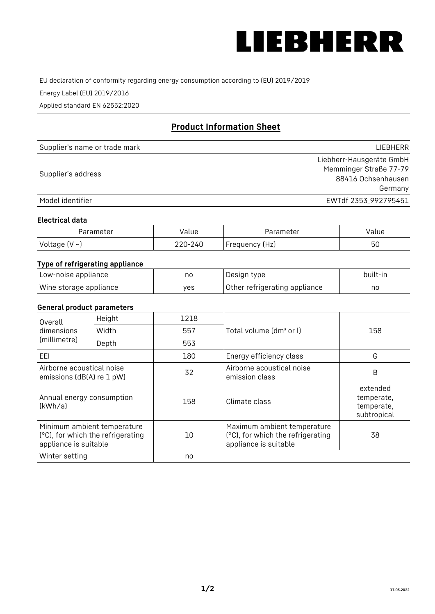

EU declaration of conformity regarding energy consumption according to (EU) 2019/2019

Energy Label (EU) 2019/2016

Applied standard EN 62552:2020

# **Product Information Sheet**

| Supplier's name or trade mark | LIEBHERR                                                                 |
|-------------------------------|--------------------------------------------------------------------------|
| Supplier's address            | Liebherr-Hausgeräte GmbH<br>Memminger Straße 77-79<br>88416 Ochsenhausen |
|                               | Germany                                                                  |
| Model identifier              | EWTdf 2353_992795451                                                     |

#### **Electrical data**

| Parameter     | Value   | Parameter      | Value |
|---------------|---------|----------------|-------|
| Voltage (V ~) | 220-240 | Frequency (Hz) | 50    |

# **Type of refrigerating appliance**

| Low-noise appliance    | nc  | , Design type i               | built-in |
|------------------------|-----|-------------------------------|----------|
| Wine storage appliance | ves | Other refrigerating appliance | nc       |

### **General product parameters**

| Height<br>Overall                                                                         |       | 1218 |                                                                                           |                                                     |
|-------------------------------------------------------------------------------------------|-------|------|-------------------------------------------------------------------------------------------|-----------------------------------------------------|
| dimensions<br>(millimetre)                                                                | Width | 557  | Total volume (dm <sup>3</sup> or l)                                                       | 158                                                 |
|                                                                                           | Depth | 553  |                                                                                           |                                                     |
| EEL                                                                                       |       | 180  | Energy efficiency class                                                                   | G                                                   |
| Airborne acoustical noise<br>emissions (dB(A) re 1 pW)                                    |       | 32   | Airborne acoustical noise<br>emission class                                               | B                                                   |
| Annual energy consumption<br>(kWh/a)                                                      |       | 158  | Climate class                                                                             | extended<br>temperate,<br>temperate,<br>subtropical |
| Minimum ambient temperature<br>(°C), for which the refrigerating<br>appliance is suitable |       | 10   | Maximum ambient temperature<br>(°C), for which the refrigerating<br>appliance is suitable | 38                                                  |
| Winter setting                                                                            |       | no   |                                                                                           |                                                     |